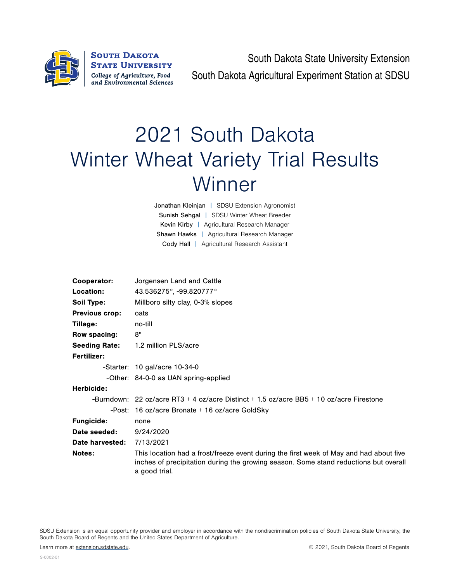

South Dakota State University Extension South Dakota Agricultural Experiment Station at SDSU

## 2021 South Dakota Winter Wheat Variety Trial Results **Winner**

Jonathan Kleinjan | SDSU Extension Agronomist Sunish Sehgal | SDSU Winter Wheat Breeder Kevin Kirby | Agricultural Research Manager Shawn Hawks | Agricultural Research Manager Cody Hall | Agricultural Research Assistant

| Cooperator:           | Jorgensen Land and Cattle                                                                                                                                                                       |  |  |  |  |  |
|-----------------------|-------------------------------------------------------------------------------------------------------------------------------------------------------------------------------------------------|--|--|--|--|--|
| Location:             | 43.536275°, -99.820777°                                                                                                                                                                         |  |  |  |  |  |
| <b>Soil Type:</b>     | Millboro silty clay, 0-3% slopes                                                                                                                                                                |  |  |  |  |  |
| <b>Previous crop:</b> | oats                                                                                                                                                                                            |  |  |  |  |  |
| Tillage:              | no-till                                                                                                                                                                                         |  |  |  |  |  |
| Row spacing:          | 8"                                                                                                                                                                                              |  |  |  |  |  |
| <b>Seeding Rate:</b>  | 1.2 million PLS/acre                                                                                                                                                                            |  |  |  |  |  |
| <b>Fertilizer:</b>    |                                                                                                                                                                                                 |  |  |  |  |  |
|                       | $-$ Starter: 10 gal/acre 10-34-0                                                                                                                                                                |  |  |  |  |  |
|                       | -Other: 84-0-0 as UAN spring-applied                                                                                                                                                            |  |  |  |  |  |
| Herbicide:            |                                                                                                                                                                                                 |  |  |  |  |  |
|                       | -Burndown: 22 oz/acre RT3 + 4 oz/acre Distinct + 1.5 oz/acre BB5 + 10 oz/acre Firestone                                                                                                         |  |  |  |  |  |
|                       | -Post: 16 oz/acre Bronate $+$ 16 oz/acre GoldSky                                                                                                                                                |  |  |  |  |  |
| <b>Fungicide:</b>     | none                                                                                                                                                                                            |  |  |  |  |  |
| Date seeded:          | 9/24/2020                                                                                                                                                                                       |  |  |  |  |  |
| Date harvested:       | 7/13/2021                                                                                                                                                                                       |  |  |  |  |  |
| <b>Notes:</b>         | This location had a frost/freeze event during the first week of May and had about five<br>inches of precipitation during the growing season. Some stand reductions but overall<br>a good trial. |  |  |  |  |  |

SDSU Extension is an equal opportunity provider and employer in accordance with the nondiscrimination policies of South Dakota State University, the South Dakota Board of Regents and the United States Department of Agriculture.